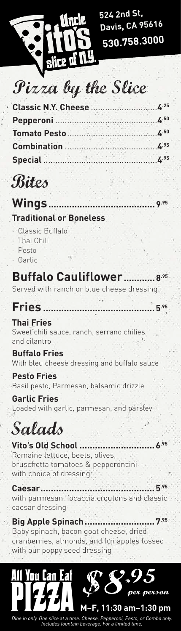

**524 2nd St, Davis, CA 95616 530.758.3000**

## Pizza by the Slice

| <b>Classic N.Y. Cheese</b> | 4.25 |
|----------------------------|------|
| Pepperoni                  | 4.50 |
| <b>Tomato Pesto</b>        | 4.50 |
| <b>Combination</b>         | 4.95 |
| <b>Special</b>             | 4.95 |

## Bites

### **Wings.........................................9.95 Traditional or Boneless**

- · Classic Buffalo
- Thai Chili
- · Pesto
- **Garlic**

### **Buffalo Cauliflower............8.95** Served with ranch or blue cheese dressing

**Fries ...........................................5.95**

**Thai Fries** Sweet chili sauce, ranch, serrano chilies and cilantro

**Buffalo Fries** With bleu cheese dressing and buffalo sauce

**Pesto Fries** Basil pesto, Parmesan, balsamic drizzle

**Garlic Fries** Loaded with garlic, parmesan, and parsley

Salads

**Vito's Old School .............................6.95** Romaine lettuce, beets, olives, bruschetta tomatoes & pepperoncini with choice of dressing

**Caesar............................................5.95** with parmesan, focaccia croutons and classic caesar dressing

**Big Apple Spinach...........................7.95** Baby spinach, bacon goat cheese, dried cranberries, almonds, and fuji apples tossed with our poppy seed dressing



*Dine in only. One slice at a time. Cheese, Pepperoni, Pesto, or Combo only. Includes fountain beverage. For a limited time.*